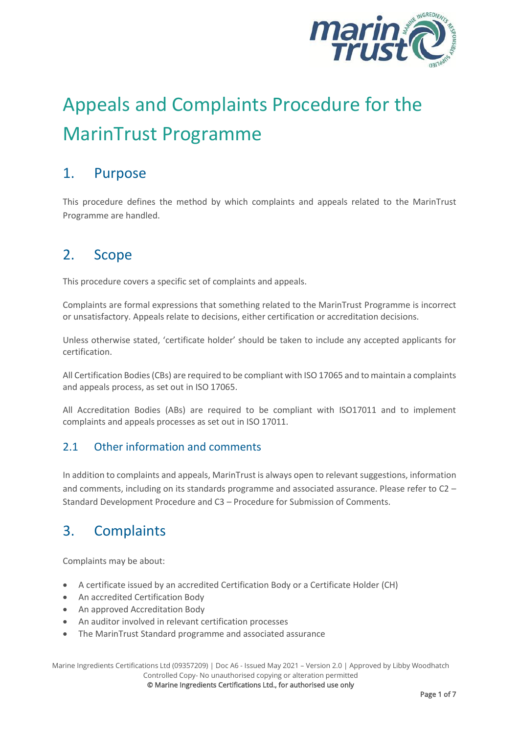

# Appeals and Complaints Procedure for the MarinTrust Programme

## 1. Purpose

This procedure defines the method by which complaints and appeals related to the MarinTrust Programme are handled.

## 2. Scope

This procedure covers a specific set of complaints and appeals.

Complaints are formal expressions that something related to the MarinTrust Programme is incorrect or unsatisfactory. Appeals relate to decisions, either certification or accreditation decisions.

Unless otherwise stated, 'certificate holder' should be taken to include any accepted applicants for certification.

All Certification Bodies (CBs) are required to be compliant with ISO 17065 and to maintain a complaints and appeals process, as set out in ISO 17065.

All Accreditation Bodies (ABs) are required to be compliant with ISO17011 and to implement complaints and appeals processes as set out in ISO 17011.

#### 2.1 Other information and comments

In addition to complaints and appeals, MarinTrust is always open to relevant suggestions, information and comments, including on its standards programme and associated assurance. Please refer to C2 – Standard Development Procedure and C3 – Procedure for Submission of Comments.

# 3. Complaints

Complaints may be about:

- A certificate issued by an accredited Certification Body or a Certificate Holder (CH)
- An accredited Certification Body
- An approved Accreditation Body
- An auditor involved in relevant certification processes
- The MarinTrust Standard programme and associated assurance

Marine Ingredients Certifications Ltd (09357209) | Doc A6 - Issued May 2021 – Version 2.0 | Approved by Libby Woodhatch Controlled Copy- No unauthorised copying or alteration permitted

© Marine Ingredients Certifications Ltd., for authorised use only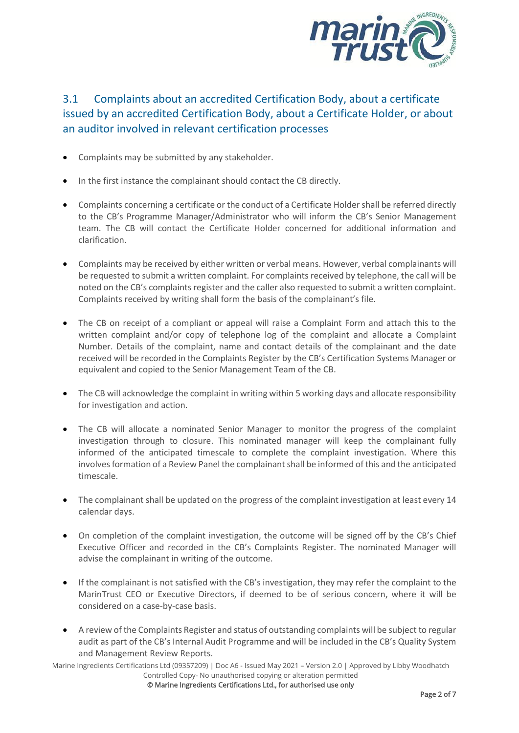

## 3.1 Complaints about an accredited Certification Body, about a certificate issued by an accredited Certification Body, about a Certificate Holder, or about an auditor involved in relevant certification processes

- Complaints may be submitted by any stakeholder.
- In the first instance the complainant should contact the CB directly.
- Complaints concerning a certificate or the conduct of a Certificate Holder shall be referred directly to the CB's Programme Manager/Administrator who will inform the CB's Senior Management team. The CB will contact the Certificate Holder concerned for additional information and clarification.
- Complaints may be received by either written or verbal means. However, verbal complainants will be requested to submit a written complaint. For complaints received by telephone, the call will be noted on the CB's complaints register and the caller also requested to submit a written complaint. Complaints received by writing shall form the basis of the complainant's file.
- The CB on receipt of a compliant or appeal will raise a Complaint Form and attach this to the written complaint and/or copy of telephone log of the complaint and allocate a Complaint Number. Details of the complaint, name and contact details of the complainant and the date received will be recorded in the Complaints Register by the CB's Certification Systems Manager or equivalent and copied to the Senior Management Team of the CB.
- The CB will acknowledge the complaint in writing within 5 working days and allocate responsibility for investigation and action.
- The CB will allocate a nominated Senior Manager to monitor the progress of the complaint investigation through to closure. This nominated manager will keep the complainant fully informed of the anticipated timescale to complete the complaint investigation. Where this involves formation of a Review Panel the complainant shall be informed of this and the anticipated timescale.
- The complainant shall be updated on the progress of the complaint investigation at least every 14 calendar days.
- On completion of the complaint investigation, the outcome will be signed off by the CB's Chief Executive Officer and recorded in the CB's Complaints Register. The nominated Manager will advise the complainant in writing of the outcome.
- If the complainant is not satisfied with the CB's investigation, they may refer the complaint to the MarinTrust CEO or Executive Directors, if deemed to be of serious concern, where it will be considered on a case-by-case basis.
- A review of the Complaints Register and status of outstanding complaints will be subject to regular audit as part of the CB's Internal Audit Programme and will be included in the CB's Quality System and Management Review Reports.

Marine Ingredients Certifications Ltd (09357209) | Doc A6 - Issued May 2021 – Version 2.0 | Approved by Libby Woodhatch Controlled Copy- No unauthorised copying or alteration permitted

© Marine Ingredients Certifications Ltd., for authorised use only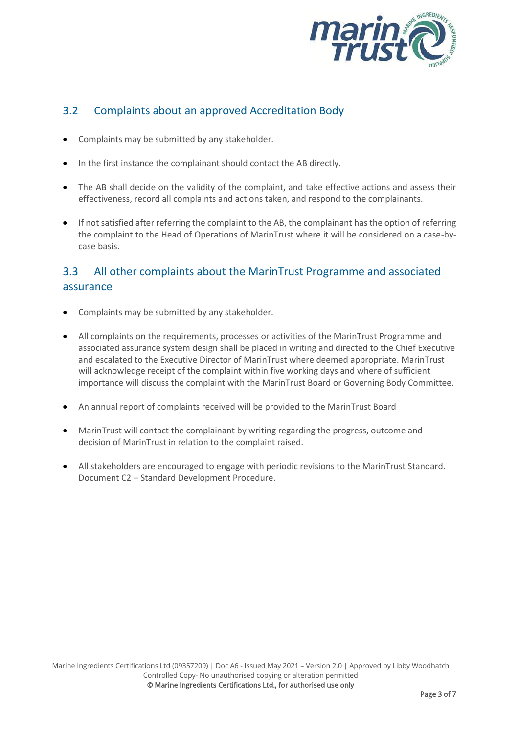

### 3.2 Complaints about an approved Accreditation Body

- Complaints may be submitted by any stakeholder.
- In the first instance the complainant should contact the AB directly.
- The AB shall decide on the validity of the complaint, and take effective actions and assess their effectiveness, record all complaints and actions taken, and respond to the complainants.
- If not satisfied after referring the complaint to the AB, the complainant has the option of referring the complaint to the Head of Operations of MarinTrust where it will be considered on a case-bycase basis.

## 3.3 All other complaints about the MarinTrust Programme and associated assurance

- Complaints may be submitted by any stakeholder.
- All complaints on the requirements, processes or activities of the MarinTrust Programme and associated assurance system design shall be placed in writing and directed to the Chief Executive and escalated to the Executive Director of MarinTrust where deemed appropriate. MarinTrust will acknowledge receipt of the complaint within five working days and where of sufficient importance will discuss the complaint with the MarinTrust Board or Governing Body Committee.
- An annual report of complaints received will be provided to the MarinTrust Board
- MarinTrust will contact the complainant by writing regarding the progress, outcome and decision of MarinTrust in relation to the complaint raised.
- All stakeholders are encouraged to engage with periodic revisions to the MarinTrust Standard. Document C2 – Standard Development Procedure.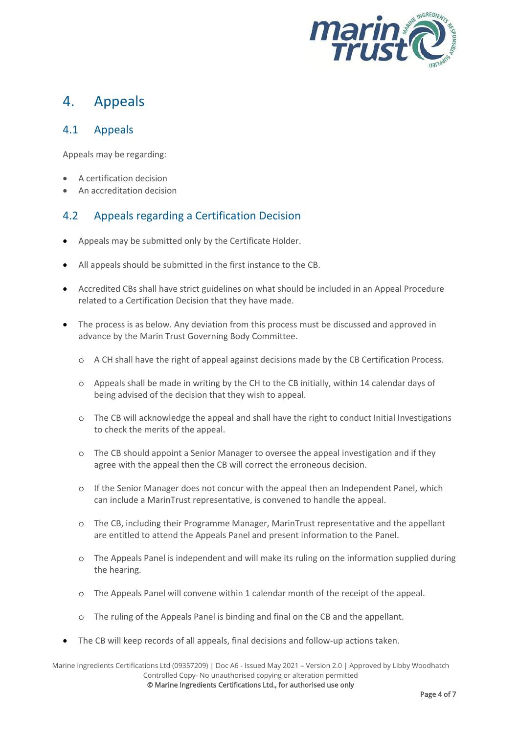

## 4. Appeals

#### 4.1 Appeals

Appeals may be regarding:

- A certification decision
- An accreditation decision

#### 4.2 Appeals regarding a Certification Decision

- Appeals may be submitted only by the Certificate Holder.
- All appeals should be submitted in the first instance to the CB.
- Accredited CBs shall have strict guidelines on what should be included in an Appeal Procedure related to a Certification Decision that they have made.
- The process is as below. Any deviation from this process must be discussed and approved in advance by the Marin Trust Governing Body Committee.
	- o A CH shall have the right of appeal against decisions made by the CB Certification Process.
	- o Appeals shall be made in writing by the CH to the CB initially, within 14 calendar days of being advised of the decision that they wish to appeal.
	- o The CB will acknowledge the appeal and shall have the right to conduct Initial Investigations to check the merits of the appeal.
	- o The CB should appoint a Senior Manager to oversee the appeal investigation and if they agree with the appeal then the CB will correct the erroneous decision.
	- o If the Senior Manager does not concur with the appeal then an Independent Panel, which can include a MarinTrust representative, is convened to handle the appeal.
	- o The CB, including their Programme Manager, MarinTrust representative and the appellant are entitled to attend the Appeals Panel and present information to the Panel.
	- o The Appeals Panel is independent and will make its ruling on the information supplied during the hearing.
	- o The Appeals Panel will convene within 1 calendar month of the receipt of the appeal.
	- o The ruling of the Appeals Panel is binding and final on the CB and the appellant.
- The CB will keep records of all appeals, final decisions and follow-up actions taken.

Marine Ingredients Certifications Ltd (09357209) | Doc A6 - Issued May 2021 – Version 2.0 | Approved by Libby Woodhatch Controlled Copy- No unauthorised copying or alteration permitted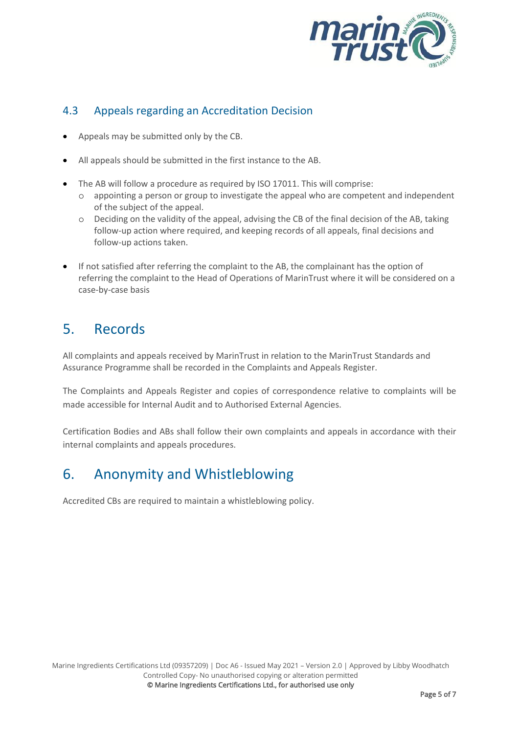

#### 4.3 Appeals regarding an Accreditation Decision

- Appeals may be submitted only by the CB.
- All appeals should be submitted in the first instance to the AB.
- The AB will follow a procedure as required by ISO 17011. This will comprise:
	- o appointing a person or group to investigate the appeal who are competent and independent of the subject of the appeal.
	- o Deciding on the validity of the appeal, advising the CB of the final decision of the AB, taking follow-up action where required, and keeping records of all appeals, final decisions and follow-up actions taken.
- If not satisfied after referring the complaint to the AB, the complainant has the option of referring the complaint to the Head of Operations of MarinTrust where it will be considered on a case-by-case basis

# 5. Records

All complaints and appeals received by MarinTrust in relation to the MarinTrust Standards and Assurance Programme shall be recorded in the Complaints and Appeals Register.

The Complaints and Appeals Register and copies of correspondence relative to complaints will be made accessible for Internal Audit and to Authorised External Agencies.

Certification Bodies and ABs shall follow their own complaints and appeals in accordance with their internal complaints and appeals procedures.

# 6. Anonymity and Whistleblowing

Accredited CBs are required to maintain a whistleblowing policy.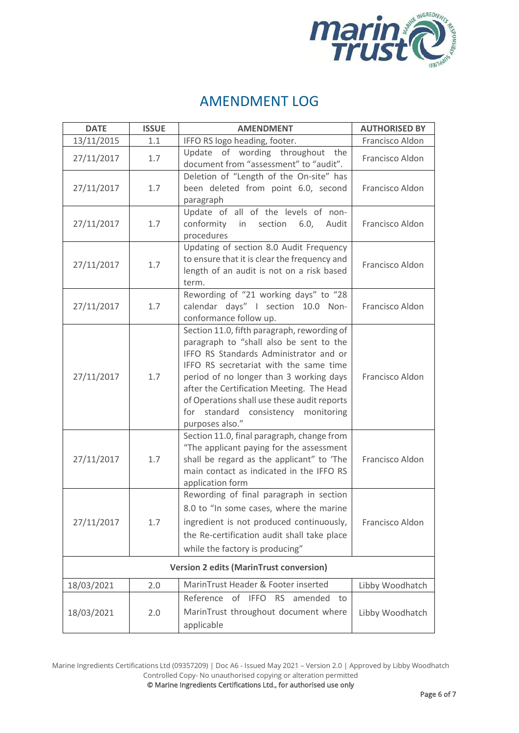

## AMENDMENT LOG

| <b>DATE</b>                                    | <b>ISSUE</b> | <b>AMENDMENT</b>                                                                                                                                                                                                                                                                                                                                                               | <b>AUTHORISED BY</b> |  |
|------------------------------------------------|--------------|--------------------------------------------------------------------------------------------------------------------------------------------------------------------------------------------------------------------------------------------------------------------------------------------------------------------------------------------------------------------------------|----------------------|--|
| 13/11/2015                                     | 1.1          | IFFO RS logo heading, footer.                                                                                                                                                                                                                                                                                                                                                  | Francisco Aldon      |  |
| 27/11/2017                                     | 1.7          | Update of wording throughout the<br>document from "assessment" to "audit".                                                                                                                                                                                                                                                                                                     | Francisco Aldon      |  |
| 27/11/2017                                     | 1.7          | Deletion of "Length of the On-site" has<br>been deleted from point 6.0, second<br>paragraph                                                                                                                                                                                                                                                                                    | Francisco Aldon      |  |
| 27/11/2017                                     | 1.7          | Update of all of the levels of non-<br>conformity in<br>section<br>6.0,<br>Audit<br>procedures                                                                                                                                                                                                                                                                                 | Francisco Aldon      |  |
| 27/11/2017                                     | 1.7          | Updating of section 8.0 Audit Frequency<br>to ensure that it is clear the frequency and<br>length of an audit is not on a risk based<br>term.                                                                                                                                                                                                                                  | Francisco Aldon      |  |
| 27/11/2017                                     | 1.7          | Rewording of "21 working days" to "28<br>calendar days" I section 10.0 Non-<br>conformance follow up.                                                                                                                                                                                                                                                                          | Francisco Aldon      |  |
| 27/11/2017                                     | 1.7          | Section 11.0, fifth paragraph, rewording of<br>paragraph to "shall also be sent to the<br>IFFO RS Standards Administrator and or<br>IFFO RS secretariat with the same time<br>period of no longer than 3 working days<br>after the Certification Meeting. The Head<br>of Operations shall use these audit reports<br>for<br>standard consistency monitoring<br>purposes also." | Francisco Aldon      |  |
| 27/11/2017                                     | 1.7          | Section 11.0, final paragraph, change from<br>"The applicant paying for the assessment<br>shall be regard as the applicant" to 'The<br>main contact as indicated in the IFFO RS<br>application form                                                                                                                                                                            | Francisco Aldon      |  |
| 27/11/2017                                     | 1.7          | Rewording of final paragraph in section<br>8.0 to "In some cases, where the marine<br>ingredient is not produced continuously,<br>the Re-certification audit shall take place<br>while the factory is producing"                                                                                                                                                               | Francisco Aldon      |  |
| <b>Version 2 edits (MarinTrust conversion)</b> |              |                                                                                                                                                                                                                                                                                                                                                                                |                      |  |
| 18/03/2021                                     | 2.0          | MarinTrust Header & Footer inserted                                                                                                                                                                                                                                                                                                                                            | Libby Woodhatch      |  |
| 18/03/2021                                     | 2.0          | Reference<br>of IFFO<br><b>RS</b><br>amended<br>to<br>MarinTrust throughout document where<br>applicable                                                                                                                                                                                                                                                                       | Libby Woodhatch      |  |

Marine Ingredients Certifications Ltd (09357209) | Doc A6 - Issued May 2021 – Version 2.0 | Approved by Libby Woodhatch Controlled Copy- No unauthorised copying or alteration permitted

© Marine Ingredients Certifications Ltd., for authorised use only